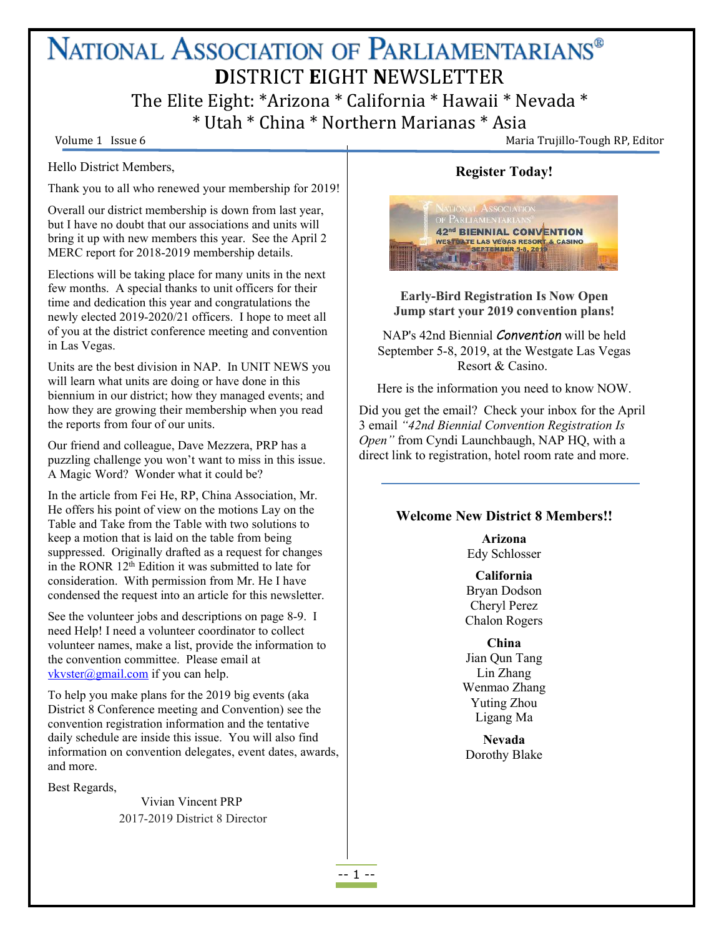# NATIONAL ASSOCIATION OF PARLIAMENTARIANS® **D**ISTRICT **E**IGHT **N**EWSLETTER The Elite Eight: \*Arizona \* California \* Hawaii \* Nevada \* \* Utah \* China \* Northern Marianas \* Asia

Volume 1 Issue 6 Maria Trujillo-Tough RP, Editor

Hello District Members,

Thank you to all who renewed your membership for 2019!

Overall our district membership is down from last year, but I have no doubt that our associations and units will bring it up with new members this year. See the April 2 MERC report for 2018-2019 membership details.

Elections will be taking place for many units in the next few months. A special thanks to unit officers for their time and dedication this year and congratulations the newly elected 2019-2020/21 officers. I hope to meet all of you at the district conference meeting and convention in Las Vegas.

Units are the best division in NAP. In UNIT NEWS you will learn what units are doing or have done in this biennium in our district; how they managed events; and how they are growing their membership when you read the reports from four of our units.

Our friend and colleague, Dave Mezzera, PRP has a puzzling challenge you won't want to missin this issue. A Magic Word? Wonder what it could be?

In the article from Fei He, RP, China Association, Mr. He offers his point of view on the motions Lay on the Table and Take from the Table with two solutions to keep a motion that is laid on the table from being suppressed. Originally drafted as a request for changes in the RONR 12<sup>th</sup> Edition it was submitted to late for consideration. With permission from Mr. He I have condensed the request into an article for this newsletter.

See the volunteer jobs and descriptions on page 8-9. I need Help! I need a volunteer coordinator to collect volunteer names, make a list, provide the information to the convention committee. Please email at [vkvster@gmail.com](mailto:vkvster@gmail.com) if you can help.

To help you make plans for the 2019 big events (aka District 8 Conference meeting and Convention) see the convention registration information and the tentative daily schedule are inside this issue. You will also find information on convention delegates, event dates, awards, and more.

Best Regards,

Vivian Vincent PRP 2017-2019 District 8 Director

# **Register Today!**



**Early-Bird Registration Is Now Open Jump start your 2019 convention plans!**

NAP's 42nd Biennial *Convention* will be held September 5-8, 2019, at the Westgate Las Vegas Resort & Casino.

Here is the information you need to know NOW.

Did you get the email? Check your inbox for the April 3 email *"42nd Biennial Convention Registration Is Open"* from Cyndi Launchbaugh, NAP HQ, with a direct link to registration, hotel room rate and more.

### **Welcome New District 8 Members!!**

**Arizona** Edy Schlosser

**California** Bryan Dodson Cheryl Perez Chalon Rogers

**China** Jian Qun Tang Lin Zhang Wenmao Zhang Yuting Zhou Ligang Ma

**Nevada** Dorothy Blake

-- 1 --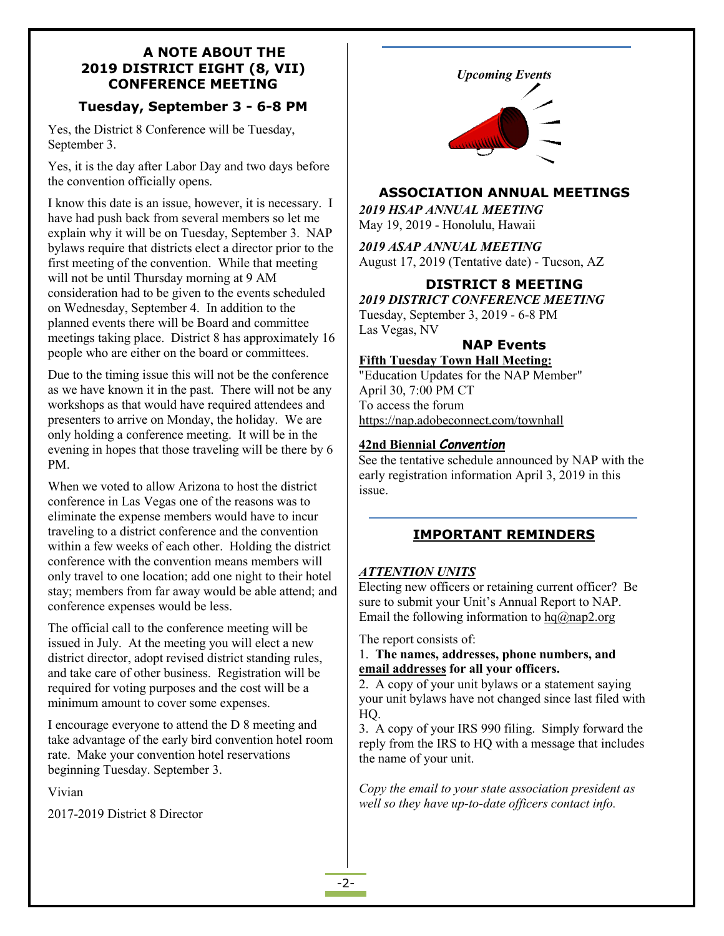#### **A NOTE ABOUT THE 2019 DISTRICT EIGHT (8, VII) CONFERENCE MEETING**

# **Tuesday, September 3 - 6-8 PM**

Yes, the District 8 Conference will be Tuesday, September 3.

Yes, it is the day after Labor Day and two days before the convention officially opens.

I know this date is an issue, however, it is necessary. I have had push back from several members so let me explain why it will be on Tuesday, September 3. NAP bylaws require that districts elect a director prior to the first meeting of the convention. While that meeting will not be until Thursday morning at 9 AM consideration had to be given to the events scheduled on Wednesday, September 4. In addition to the planned events there will be Board and committee meetings taking place. District 8 has approximately 16 people who are either on the board or committees.

Due to the timing issue this will not be the conference as we have known it in the past. There will not be any workshops as that would have required attendees and presenters to arrive on Monday, the holiday. We are only holding a conference meeting. It will be in the evening in hopes that those traveling will be there by 6 PM.

When we voted to allow Arizona to host the district conference in Las Vegas one of the reasons was to eliminate the expense members would have to incur traveling to a district conference and the convention within a few weeks of each other. Holding the district conference with the convention means members will only travel to one location; add one night to their hotel stay; members from far away would be able attend; and conference expenses would be less.

The official call to the conference meeting will be issued in July. At the meeting you will elect a new district director, adopt revised district standing rules, and take care of other business. Registration will be required for voting purposes and the cost will be a minimum amount to cover some expenses.

I encourage everyone to attend the D 8 meeting and take advantage of the early bird convention hotel room rate. Make your convention hotel reservations beginning Tuesday. September 3.

Vivian

2017-2019 District 8 Director



# **ASSOCIATION ANNUAL MEETINGS**

*2019 HSAP ANNUAL MEETING* May 19, 2019 - Honolulu, Hawaii

*2019 ASAP ANNUAL MEETING*

August 17, 2019 (Tentative date) - Tucson, AZ

# **DISTRICT 8 MEETING**

*2019 DISTRICT CONFERENCE MEETING* Tuesday, September 3, 2019 - 6-8 PM Las Vegas, NV

### **NAP Events**

**Fifth Tuesday Town Hall Meeting:**

"Education Updates for the NAP Member" April 30, 7:00 PM CT To access the forum <https://nap.adobeconnect.com/townhall>

#### **42nd Biennial** *Convention*

See the tentative schedule announced by NAP with the early registration information April 3, 2019 in this issue.

## **IMPORTANT REMINDERS**

### *ATTENTION UNITS*

Electing new officers or retaining current officer? Be sure to submit your Unit's Annual Report to NAP. Email the following information to  $hq(\hat{a})$ nap2.org

The report consists of:

### 1. **The names, addresses, phone numbers, and email addresses for all your officers.**

2. A copy of your unit bylaws or a statement saying your unit bylaws have not changed since last filed with HQ.

3. A copy of your IRS 990 filing. Simply forward the reply from the IRS to HQ with a message that includes the name of your unit.

*Copy the email to your state association president as well so they have up-to-date of icers contact info.*

-2-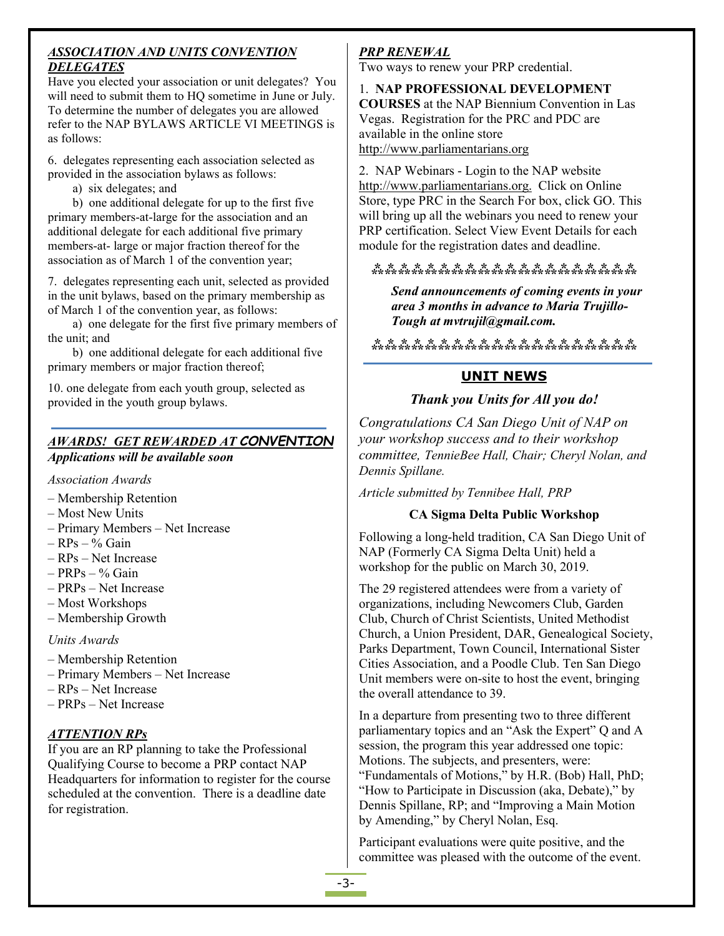## *ASSOCIATION AND UNITS CONVENTION DELEGATES*

Have you elected your association or unit delegates? You will need to submit them to HQ sometime in June or July. To determine the number of delegates you are allowed refer to the NAP BYLAWS ARTICLE VI MEETINGS is as follows:

6. delegates representing each association selected as provided in the association bylaws as follows:

a) six delegates; and

b) one additional delegate for up to the first five primary members-at-large for the association and an additional delegate for each additional five primary members-at- large or major fraction thereof for the association as of March 1 of the convention year;

7. delegates representing each unit, selected as provided in the unit bylaws, based on the primary membership as of March 1 of the convention year, as follows:

a) one delegate for the first five primary members of the unit; and

b) one additional delegate for each additional five primary members or major fraction thereof;

10. one delegate from each youth group, selected as provided in the youth group bylaws.

### *AWARDS! GET REWARDED AT CONVENTION Applications will be available soon*

*Association Awards*

- Membership Retention
- Most New Units
- Primary Members Net Increase
- $-$  RPs % Gain
- $-$  RPs Net Increase
- $-$  PRPs  $-$  % Gain
- PRPs Net Increase
- Most Workshops
- Membership Growth

*Units Awards*

- Membership Retention
- Primary Members Net Increase
- $-$  RPs Net Increase
- PRPs Net Increase

## *ATTENTION RPs*

If you are an RP planning to take the Professional Qualifying Course to become a PRP contact NAP Headquarters for information to register for the course scheduled at the convention. There is a deadline date for registration.

# *PRP RENEWAL*

Two ways to renew your PRP credential.

1. **NAP PROFESSIONAL DEVELOPMENT COURSES** at the NAP Biennium Convention in Las Vegas. Registration for the PRC and PDC are available in the online store [http://www.parliamentarians.org](http://www.parliamentarians.org/2018ntc)

2. NAP Webinars - Login to the NAP website <http://www.parliamentarians.org.> Click on Online Store, type PRC in the Search For box, click GO. This will bring up all the webinars you need to renew your PRP certification. Select View Event Details for each module for the registration dates and deadline.

# **⁂⁂⁂⁂⁂⁂⁂⁂⁂⁂⁂⁂⁂⁂⁂⁂⁂⁂⁂⁂**

*Send announcements ofcoming events in your area 3 months in advance to Maria Trujillo- Tough at mvtrujil@gmail.com.*

**⁂⁂⁂⁂⁂⁂⁂⁂⁂⁂⁂⁂⁂⁂⁂⁂⁂⁂⁂⁂**

# **UNIT NEWS**

# *Thank you Units for All you do!*

*Congratulations CA San Diego Unit of NAP on your workshop success and to their workshop committee, TennieBee Hall, Chair; Cheryl Nolan, and Dennis Spillane.*

*Article submitted by Tennibee Hall, PRP*

## **CA Sigma Delta Public Workshop**

Following a long-held tradition, CA San Diego Unit of NAP (Formerly CA Sigma Delta Unit) held a workshop for the public on March 30, 2019.

The 29 registered attendees were from a variety of organizations, including Newcomers Club, Garden Club, Church of Christ Scientists, United Methodist Church, a Union President, DAR, Genealogical Society, Parks Department, Town Council, International Sister Cities Association, and a Poodle Club. Ten San Diego Unit members were on-site to host the event, bringing the overall attendance to 39.

In a departure from presenting two to three different parliamentary topics and an "Ask the Expert" Q and A session, the program this year addressed one topic: Motions. The subjects, and presenters, were: "Fundamentals of Motions," by H.R. (Bob) Hall, PhD; "How to Participate in Discussion (aka, Debate)," by Dennis Spillane, RP; and "Improving a Main Motion by Amending," by Cheryl Nolan, Esq.

Participant evaluations were quite positive, and the committee was pleased with the outcome of the event.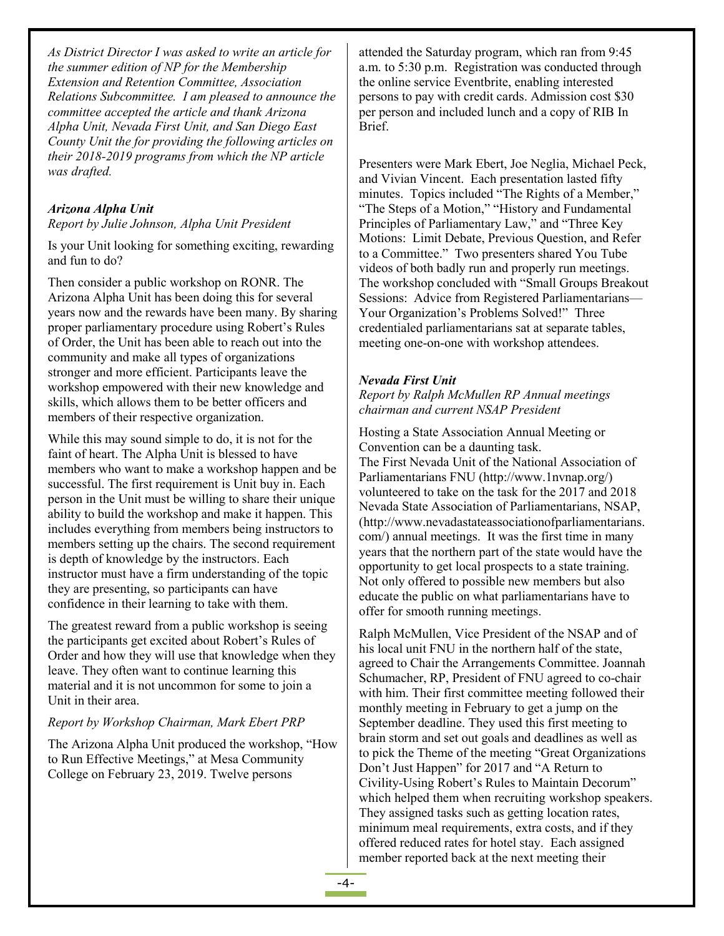*As District Director I was asked to write an article for the summer edition of NP for the Membership Extension and Retention Committee, Association Relations Subcommittee. I am pleased to announce the committee accepted the article and thank Arizona Alpha Unit, Nevada First Unit, and San Diego East County Unit the for providing the following articles on their 2018-2019 programs from which the NP article was drafted.*

#### *Arizona Alpha Unit*

*Report by Julie Johnson, Alpha Unit President*

Is your Unit looking for something exciting, rewarding and fun to do?

Then consider a public workshop on RONR. The Arizona Alpha Unit has been doing this for several years now and the rewards have been many. By sharing proper parliamentary procedure using Robert's Rules of Order, the Unit has been able to reach out into the community and make all types of organizations stronger and more efficient. Participants leave the workshop empowered with their new knowledge and skills, which allows them to be better officers and members of their respective organization.

While this may sound simple to do, it is not for the faint of heart. The Alpha Unit is blessed to have members who want to make a workshop happen and be successful. The first requirement is Unit buy in. Each person in the Unit must be willing to share their unique ability to build the workshop and make it happen. This includes everything from members being instructors to members setting up the chairs. The second requirement is depth of knowledge by the instructors. Each instructor must have a firm understanding of the topic they are presenting, so participants can have confidence in their learning to take with them.

The greatest reward from a public workshop is seeing the participants get excited about Robert's Rules of Order and how they will use that knowledge when they leave. They often want to continue learning this material and it is not uncommon for some to join a Unit in their area.

#### *Report by Workshop Chairman, Mark Ebert PRP*

The Arizona Alpha Unit produced the workshop, "How to Run Effective Meetings," at Mesa Community College on February 23, 2019. Twelve persons

attended the Saturday program, which ran from 9:45 a.m. to 5:30 p.m. Registration was conducted through the online service Eventbrite, enabling interested persons to pay with credit cards. Admission cost \$30 per person and included lunch and a copy of RIB In Brief.

Presenters were Mark Ebert, Joe Neglia, Michael Peck, and Vivian Vincent. Each presentation lasted fifty minutes. Topics included "The Rights of a Member," "The Steps of a Motion," "History and Fundamental Principles of Parliamentary Law," and "Three Key Motions: Limit Debate, Previous Question, and Refer to a Committee." Two presenters shared You Tube videos of both badly run and properly run meetings. The workshop concluded with "Small Groups Breakout Sessions: Advice from Registered Parliamentarians— Your Organization's Problems Solved!" Three credentialed parliamentarians sat at separate tables, meeting one-on-one with workshop attendees.

#### *Nevada First Unit*

*Report by Ralph McMullen RP Annual meetings chairman and current NSAP President*

Hosting a State Association Annual Meeting or Convention can be a daunting task. The First Nevada Unit of the National Association of Parliamentarians FNU (http://www.1nvnap.org/) volunteered to take on the task for the 2017 and 2018 Nevada State Association of Parliamentarians, NSAP, (http://www.nevadastateassociationofparliamentarians. com/) annual meetings. It was the first time in many years that the northern part of the state would have the opportunity to get local prospects to a state training. Not only offered to possible new members but also educate the public on what parliamentarians have to offer for smooth running meetings.

Ralph McMullen, Vice President of the NSAP and of his local unit FNU in the northern half of the state, agreed to Chair the Arrangements Committee. Joannah Schumacher, RP, President of FNU agreed to co-chair with him. Their first committee meeting followed their monthly meeting in February to get a jump on the September deadline. They used this first meeting to brain storm and set out goals and deadlines as well as to pick the Theme of the meeting "Great Organizations Don't Just Happen" for 2017 and "A Return to Civility-Using Robert's Rules to Maintain Decorum" which helped them when recruiting workshop speakers. They assigned tasks such as getting location rates, minimum meal requirements, extra costs, and if they offered reduced rates for hotel stay. Each assigned member reported back at the next meeting their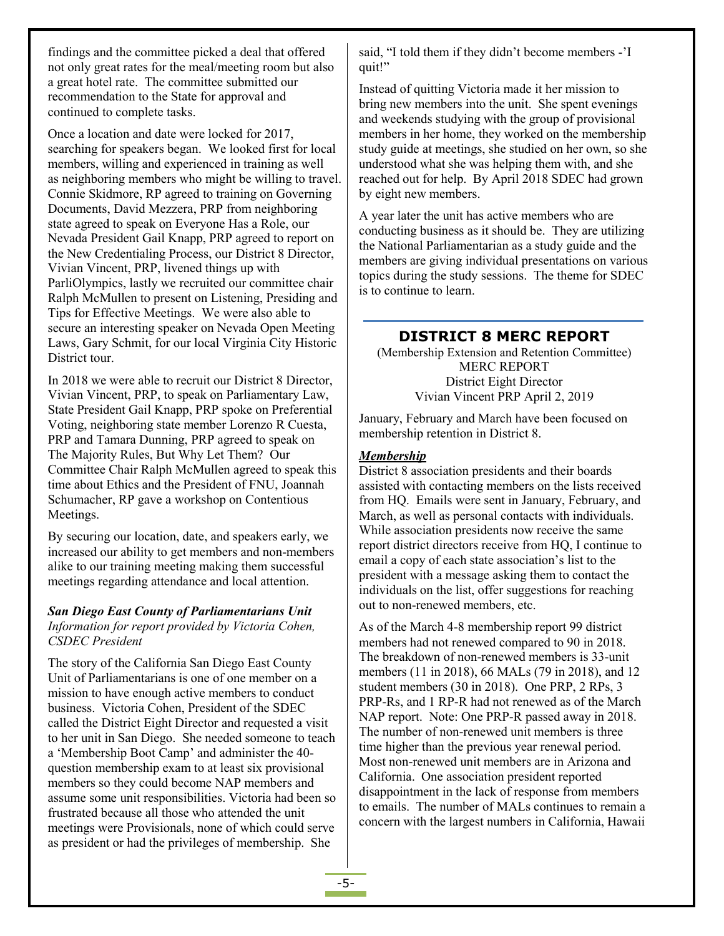findings and the committee picked a deal that offered not only great rates for the meal/meeting room but also a great hotel rate. The committee submitted our recommendation to the State for approval and continued to complete tasks.

Once a location and date were locked for 2017, searching for speakers began. We looked first for local members, willing and experienced in training as well as neighboring members who might be willing to travel. Connie Skidmore, RP agreed to training on Governing Documents, David Mezzera, PRP from neighboring state agreed to speak on Everyone Has a Role, our Nevada President Gail Knapp, PRP agreed to report on the New Credentialing Process, our District 8 Director, Vivian Vincent, PRP, livened things up with ParliOlympics, lastly we recruited our committee chair Ralph McMullen to present on Listening, Presiding and Tips for Effective Meetings. We were also able to secure an interesting speaker on Nevada Open Meeting Laws, Gary Schmit, for our local Virginia City Historic District tour.

In 2018 we were able to recruit our District 8 Director, Vivian Vincent, PRP, to speak on Parliamentary Law, State President Gail Knapp, PRP spoke on Preferential Voting, neighboring state member Lorenzo R Cuesta, PRP and Tamara Dunning, PRP agreed to speak on The Majority Rules, But Why Let Them? Our Committee Chair Ralph McMullen agreed to speak this time about Ethics and the President of FNU, Joannah Schumacher, RP gave a workshop on Contentious Meetings.

By securing our location, date, and speakers early, we increased our ability to get members and non-members alike to our training meeting making them successful meetings regarding attendance and local attention.

#### *San Diego East County of Parliamentarians Unit Information for report provided by Victoria Cohen, CSDEC President*

The story of the California San Diego East County Unit of Parliamentarians is one of one member on a mission to have enough active members to conduct business. Victoria Cohen, President of the SDEC called the District Eight Director and requested a visit to her unit in San Diego. She needed someone to teach a 'Membership Boot Camp' and administer the 40 question membership exam to at least six provisional members so they could become NAP members and assume some unit responsibilities. Victoria had been so frustrated because all those who attended the unit meetings were Provisionals, none of which could serve as president or had the privileges of membership. She

said, "I told them if they didn't become members -'I quit!"

Instead of quitting Victoria made it her mission to bring new members into the unit. She spent evenings and weekends studying with the group of provisional members in her home, they worked on the membership study guide at meetings, she studied on her own, so she understood what she was helping them with, and she reached out for help. By April 2018 SDEC had grown by eight new members.

A year later the unit has active members who are conducting business as it should be. They are utilizing the National Parliamentarian as a study guide and the members are giving individual presentations on various topics during the study sessions. The theme for SDEC is to continue to learn.

## **DISTRICT 8 MERC REPORT**

(Membership Extension and Retention Committee) MERC REPORT District Eight Director Vivian Vincent PRP April 2, 2019

January, February and March have been focused on membership retention in District 8.

#### *Membership*

District 8 association presidents and their boards assisted with contacting members on the lists received from HQ. Emails were sent in January, February, and March, as well as personal contacts with individuals. While association presidents now receive the same report district directors receive from HQ, I continue to email a copy of each state association's list to the president with a message asking them to contact the individuals on the list, offer suggestions for reaching out to non-renewed members, etc.

As of the March 4-8 membership report 99 district members had not renewed compared to 90 in 2018.<br>The breakdown of non-renewed members is 33-unit members (11 in 2018), 66 MALs (79 in 2018), and 12 student members (30 in 2018). One PRP, 2 RPs, 3 PRP-Rs, and 1 RP-R had not renewed as of the March NAP report. Note: One PRP-R passed away in 2018. The number of non-renewed unit members is three time higher than the previous year renewal period. Most non-renewed unit members are in Arizona and California. One association president reported disappointment in the lack of response from members to emails. The number of MALs continues to remain a concern with the largest numbers in California, Hawaii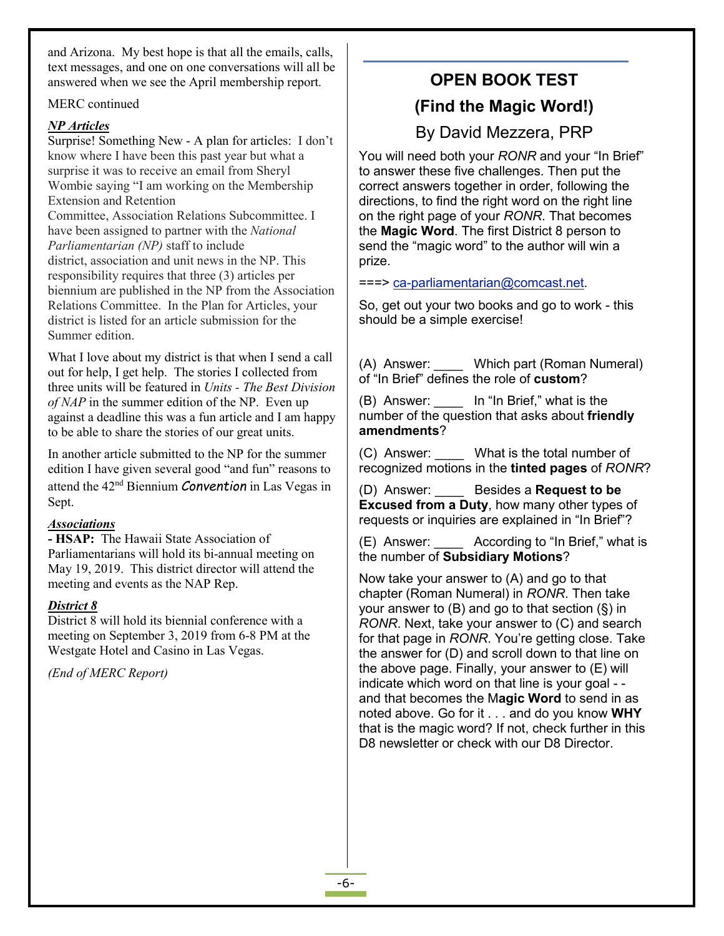and Arizona. My best hope is that all the emails, calls, text messages, and one on one conversations will all be answered when we see the April membership report.

MERC continued

## *NP Articles*

Surprise! Something New - A plan for articles: I don't know where I have been this past year but what a surprise it was to receive an email from Sheryl Wombie saying "I am working on the Membership Extension and Retention Committee, Association Relations Subcommittee. I have been assigned to partner with the *National Parliamentarian (NP)* staff to include district, association and unit news in the NP. This responsibility requires that three (3) articles per biennium are published in the NP from the Association Relations Committee. In the Plan for Articles, your district is listed for an article submission for the Summer edition.

What I love about my district is that when I send a call  $(A)$  Answer: out for help, I get help. The stories I collected from three units will be featured in *Units - The Best Division of NAP* in the summer edition of the NP. Even up (B) Answer: against a deadline this was a fun article and I am happy to be able to share the stories of our great units.

In another article submitted to the NP for the summer  $\vert$  (C) Answer: edition I have given several good "and fun" reasons to attend the 42<sup>nd</sup> Biennium *Convention* in Las Vegas in (D) Answer Sept.

## *Associations*

**- HSAP:** The Hawaii State Association of  $\vert$  (E) Answer: Parliamentarians will hold its bi-annual meeting on May 19, 2019. This district director will attend the meeting and events as the NAP Rep.

### *District 8*

 $\overline{\text{District 8}}$  will hold its biennial conference with a meeting on September 3, 2019 from 6-8 PM at the Westgate Hotel and Casino in Las Vegas.

*(End of MERC Report)*

# **OPEN BOOK TEST (Find the Magic Word!)**

# By David Mezzera, PRP

You will need both your *RONR* and your "In Brief" to answer these five challenges.Then put the correct answers together in order, following the directions, to find the right word on the right line on the right page of your *RONR*. That becomes the **Magic Word**. The first District 8 person to send the "magic word" to the author will win a prize.

===> [ca-parliamentarian@comcast.net](mailto:ca-parliamentarian@comcast.net).

So, get out your two books and go to work - this should be a simple exercise!

Which part (Roman Numeral) of "In Brief" defines the role of **custom**?

In "In Brief," what is the number of the question that asks about friendly **amendments**?

What is the total number of recognized motions in the **tinted pages** of *RONR*?

(D) Answer: \_\_\_\_ Besides a **Request to be Excused from a Duty**, how many other types of requests or inquiries are explained in "In Brief"?

According to "In Brief," what is the number of **Subsidiary Motions**?

Now take your answer to (A) and go to that chapter (Roman Numeral) in *RONR*. Then take your answer to  $(B)$  and go to that section  $(\S)$  in *RONR*. Next, take your answer to (C) and search for that page in *RONR*. You're getting close. Take the answer for (D) and scroll down to that line on the above page. Finally, your answer to (E) will indicate which word on that line is your goal - and that becomes the M**agic Word** to send in as noted above. Go for it . . . and do you know **WHY** that is the magic word? If not, check further in this D8 newsletter or check with our D8 Director.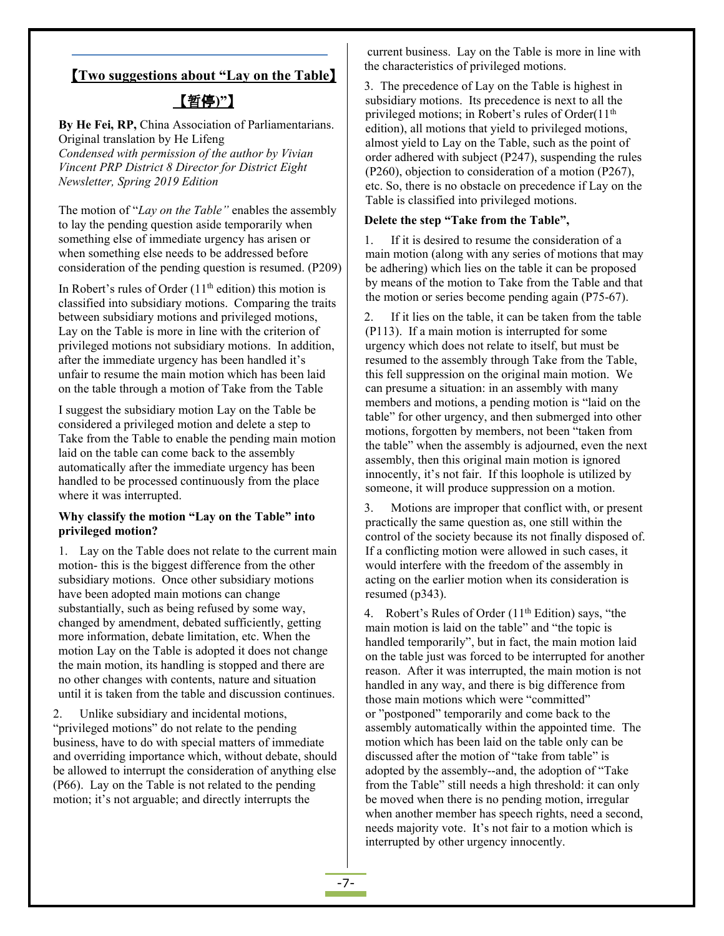### 【**Two suggestions about "Lay on the Table**】

# 【暂停**)"**】

**By He Fei, RP,**China Association of Parliamentarians. Original translation by He Lifeng *Condensed with permission of the author by Vivian Vincent PRP District 8 Director for District Eight Newsletter, Spring 2019 Edition*

The motion of "*Lay on the Table"* enables the assembly to lay the pending question aside temporarily when something else of immediate urgency has arisen or  $\begin{vmatrix} 1 \\ 1 \end{vmatrix}$ when something else needs to be addressed before consideration of the pending question is resumed.(P209)

In Robert's rules of Order (11<sup>th</sup> edition) this motion is  $\frac{dy}{dx}$  in each of the classified into subsidiary motions. Comparing the traits between subsidiary motions and privileged motions,  $\vert$  2. Lay on the Table is more in line with the criterion of privileged motions not subsidiary motions. In addition, after the immediate urgency has been handled it's unfair to resume the main motion which has been laid on the table through a motion of Take from the Table

I suggest the subsidiary motion Lay on the Table be considered a privileged motion and delete a step to Take from the Table to enable the pending main motion laid on the table can come back to the assembly automatically after the immediate urgency has been handled to be processed continuously from the place where it was interrupted.

# **Why classify** the motion "Lay on the Table" into  $\begin{bmatrix} 3. \\ -3. \end{bmatrix}$ **privileged motion?**

1. Lay on the Table does not relate to the current main motion- this is the biggest difference from the other subsidiary motions. Once other subsidiary motions have been adopted main motions can change substantially, such as being refused by some way, changed by amendment, debated sufficiently, getting more information, debate limitation, etc. When the motion Lay on the Table is adopted it does not change the main motion, its handling is stopped and there are no other changes with contents, nature and situation until it is taken from the table and discussion continues.

2. Unlike subsidiary and incidental motions, "privileged motions" do not relate to the pending business, have to do with special matters of immediate and overriding importance which, without debate, should be allowed to interrupt the consideration of anything else (P66). Lay on the Table is not related to the pending motion; it's not arguable; and directly interrupts the

current business. Lay on the Table is more in line with the characteristics of privileged motions.

3. The precedence of Lay on the Table is highest in subsidiary motions. Its precedence is next to all the privileged motions; in Robert's rules of Order(11<sup>th</sup> edition), all motions that yield to privileged motions, almost yield to Lay on the Table, such as the point of order adhered with subject (P247), suspending the rules (P260), objection to consideration of a motion (P267), etc. So, there is no obstacle on precedence if Lay on the Table is classified into privileged motions.

#### **Delete the step "Take from the Table",**

If it is desired to resume the consideration of a main motion (along with any series of motions that may be adhering) which lies on the table it can be proposed by means of the motion to Take from the Table and that the motion or series become pending again (P75-67).

If it lies on the table, it can be taken from the table (P113). If a main motion is interrupted for some urgency which doesnot relate to itself, but must be resumed to the assembly through Take from the Table, this fell suppression on the original main motion. We can presume a situation: in an assembly with many members and motions, a pending motion is "laid on the table" for other urgency, and then submerged into other motions, forgotten by members, not been "taken from the table" when the assembly is adjourned, even the next assembly, then this original main motion is ignored innocently, it's not fair. If this loophole is utilized by someone, it will produce suppression on a motion.

Motions are improper that conflict with, or present practically the same question as, one still within the control of the society because its not finally disposed of. If a conflicting motion were allowed in such cases, it would interfere with the freedom of the assembly in acting on the earlier motion when its consideration is resumed (p343).

4. Robert's Rules of Order  $(11<sup>th</sup> Edition)$  says, "the main motion is laid on the table" and "the topic is handled temporarily", but in fact, the main motion laid on the table just was forced to be interrupted for another reason. After it was interrupted, the main motion is not handled in any way, and there is big difference from those main motions which were "committed" or "postponed" temporarily and come back to the assembly automatically within the appointed time. The motion which has been laid on the table only can be discussed after the motion of "take from table" is adopted by the assembly--and, the adoption of "Take from the Table" still needs a high threshold: it can only be moved when there is no pending motion, irregular when another member has speech rights, need a second, needs majority vote. It's not fair to a motion which is interrupted by other urgency innocently.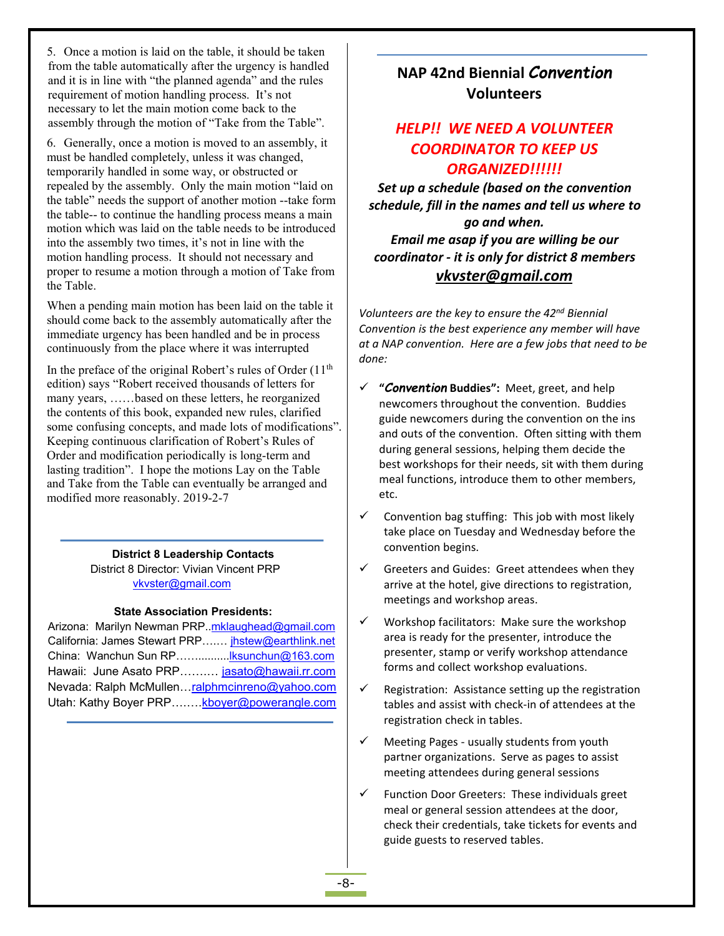5. Once a motion is laid on the table, it should be taken from the table automatically after the urgency is handled and it is in line with "the planned agenda" and the rules requirement of motion handling process. It's not necessary to let the main motion come back to the assembly through the motion of "Take from the Table".

6. Generally, once a motion is moved to an assembly, it must be handled completely, unless it was changed, temporarily handled in some way, or obstructed or repealed by the assembly. Only the main motion "laid on the table" needs the support of another motion --take form the table-- to continue the handling process means a main motion which was laid on the table needs to be introduced into the assembly two times, it's not in line with the motion handling process. It should not necessary and proper to resume a motion through a motion of Take from the Table.

When a pending main motion has been laid on the table it should come back to the assembly automatically after the immediate urgency has been handled and be in process continuously from the place where it was interrupted

In the preface of the original Robert's rules of Order  $(11<sup>th</sup>$ edition) says "Robert received thousands of letters for many years, ……based on these letters, he reorganized the contents of this book, expanded new rules, clarified some confusing concepts, and made lots of modifications". Keeping continuous clarification of Robert's Rules of Order and modification periodically is long-term and lasting tradition". I hope the motions Lay on the Table and Take from the Table can eventually be arranged and modified more reasonably. 2019-2-7

**District 8 Leadership Contacts**

District 8 Director: Vivian Vincent PRP [vkvster@gmail.com](mailto:vkvster@gmail.com)

#### **State Association Presidents:**

Arizona: Marilyn Newman PRP..[mklaughead@gmail.com](mailto:mklaughead@gmail.com) California: James Stewart PRP….… [jhstew@earthlink.net](mailto:jhstew@earthlink.net) China: Wanchun Sun RP…….........[.lksunchun@163.com](mailto:lksunchun@163.com) Hawaii: June Asato PRP…….… [jasato@hawaii.rr.com](mailto:jasato@hawaii.rr.com) Nevada: Ralph McMullen…<u>ralphmcinreno@yahoo.com</u> │ ✓ Utah: Kathy Boyer PRP........ [kboyer@powerangle.com](mailto:kboyer@powerangle.com)

# **NAP 42nd Biennial** *Convention* **Volunteers**

# *HELP!! WE NEED A VOLUNTEER COORDINATOR TO KEEP US ORGANIZED!!!!!!*

*Set up a schedule (based on the convention schedule, fill in the names and tell us where to go and when. Email me asap if you are willing be our coordinator - it is only for district 8 members vkvster@gmail.com*

*Volunteers are the key to ensure the 42 nd Biennial Convention is the best experience any member will have at a NAP convention.Here are a few jobs that need to be done:*

- **"***Convention* **Buddies":** Meet, greet, and help newcomers throughout the convention. Buddies guide newcomers during the convention on the ins and outs of the convention. Often sitting with them during general sessions, helping them decide the best workshops for their needs, sit with them during meal functions, introduce them to other members, etc.
- $\checkmark$  Convention bag stuffing: This job with most likely take place on Tuesday and Wednesday before the convention begins.
- Greeters and Guides: Greet attendees when they arrive at the hotel, give directions to registration, meetings and workshop areas.
- Workshop facilitators: Make sure the workshop area is ready for the presenter, introduce the presenter, stamp or verify workshop attendance forms and collect workshop evaluations.
- Registration: Assistance setting up the registration tables and assist with check-in of attendees at the registration check in tables.
- $\checkmark$  Meeting Pages usually students from youth partner organizations. Serve as pages to assist meeting attendees during general sessions
- $\checkmark$  Function Door Greeters: These individuals greet meal or general session attendees at the door, check their credentials, take tickets for events and guide guests to reserved tables.